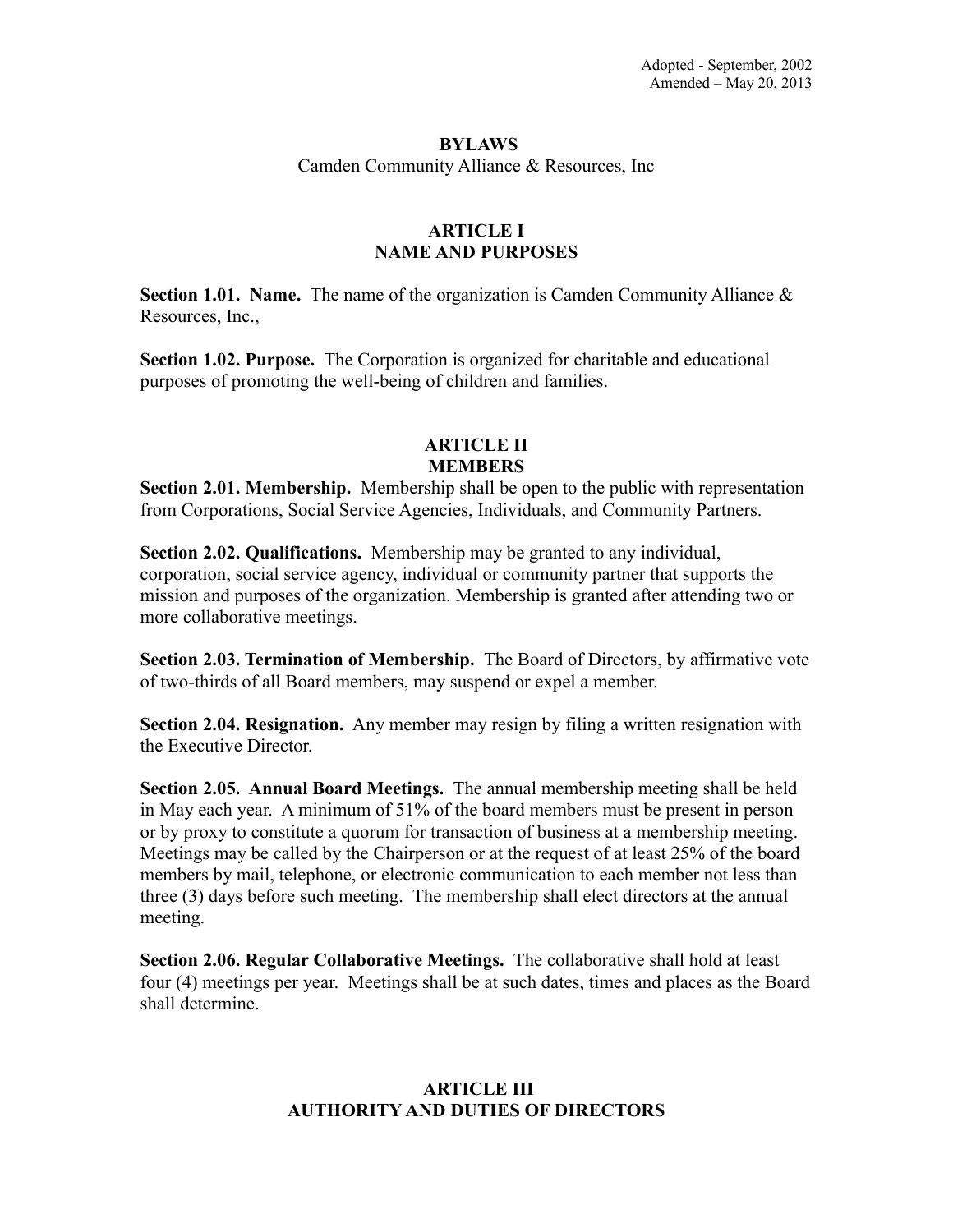#### **BYLAWS**

Camden Community Alliance & Resources, Inc

## **ARTICLE I NAME AND PURPOSES**

**Section 1.01. Name.** The name of the organization is Camden Community Alliance & Resources, Inc.,

**Section 1.02. Purpose.** The Corporation is organized for charitable and educational purposes of promoting the well-being of children and families.

### **ARTICLE II MEMBERS**

**Section 2.01. Membership.** Membership shall be open to the public with representation from Corporations, Social Service Agencies, Individuals, and Community Partners.

**Section 2.02. Qualifications.** Membership may be granted to any individual, corporation, social service agency, individual or community partner that supports the mission and purposes of the organization. Membership is granted after attending two or more collaborative meetings.

**Section 2.03. Termination of Membership.** The Board of Directors, by affirmative vote of two-thirds of all Board members, may suspend or expel a member.

**Section 2.04. Resignation.** Any member may resign by filing a written resignation with the Executive Director.

**Section 2.05. Annual Board Meetings.** The annual membership meeting shall be held in May each year. A minimum of 51% of the board members must be present in person or by proxy to constitute a quorum for transaction of business at a membership meeting. Meetings may be called by the Chairperson or at the request of at least 25% of the board members by mail, telephone, or electronic communication to each member not less than three (3) days before such meeting. The membership shall elect directors at the annual meeting.

**Section 2.06. Regular Collaborative Meetings.** The collaborative shall hold at least four (4) meetings per year. Meetings shall be at such dates, times and places as the Board shall determine.

# **ARTICLE III AUTHORITY AND DUTIES OF DIRECTORS**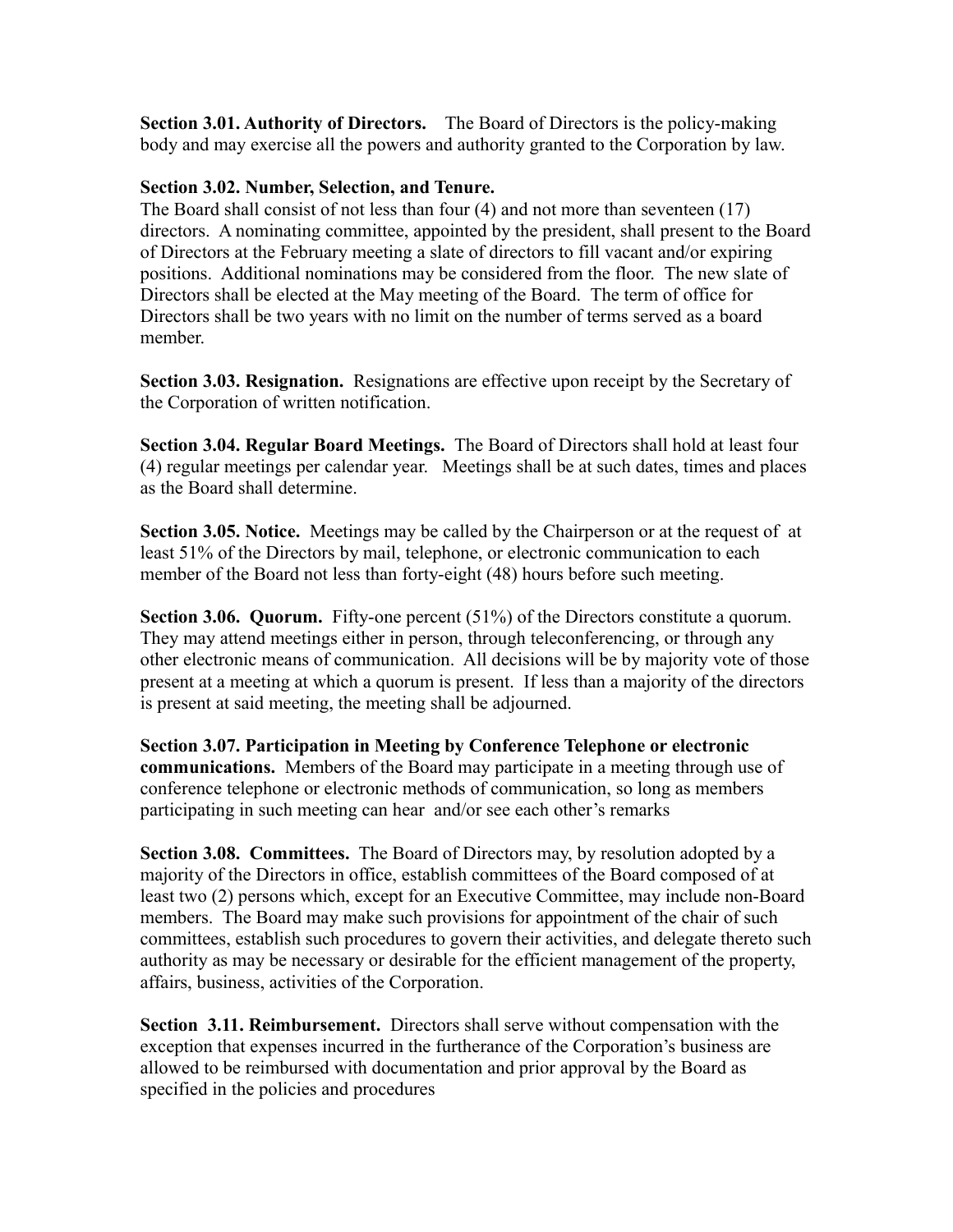**Section 3.01. Authority of Directors.** The Board of Directors is the policy-making body and may exercise all the powers and authority granted to the Corporation by law.

## **Section 3.02. Number, Selection, and Tenure.**

The Board shall consist of not less than four (4) and not more than seventeen (17) directors. A nominating committee, appointed by the president, shall present to the Board of Directors at the February meeting a slate of directors to fill vacant and/or expiring positions. Additional nominations may be considered from the floor. The new slate of Directors shall be elected at the May meeting of the Board. The term of office for Directors shall be two years with no limit on the number of terms served as a board member.

**Section 3.03. Resignation.** Resignations are effective upon receipt by the Secretary of the Corporation of written notification.

**Section 3.04. Regular Board Meetings.** The Board of Directors shall hold at least four (4) regular meetings per calendar year. Meetings shall be at such dates, times and places as the Board shall determine.

**Section 3.05. Notice.** Meetings may be called by the Chairperson or at the request of at least 51% of the Directors by mail, telephone, or electronic communication to each member of the Board not less than forty-eight (48) hours before such meeting.

**Section 3.06. Quorum.** Fifty-one percent (51%) of the Directors constitute a quorum. They may attend meetings either in person, through teleconferencing, or through any other electronic means of communication. All decisions will be by majority vote of those present at a meeting at which a quorum is present. If less than a majority of the directors is present at said meeting, the meeting shall be adjourned.

**Section 3.07. Participation in Meeting by Conference Telephone or electronic communications.** Members of the Board may participate in a meeting through use of conference telephone or electronic methods of communication, so long as members participating in such meeting can hear and/or see each other's remarks

**Section 3.08. Committees.** The Board of Directors may, by resolution adopted by a majority of the Directors in office, establish committees of the Board composed of at least two (2) persons which, except for an Executive Committee, may include non-Board members. The Board may make such provisions for appointment of the chair of such committees, establish such procedures to govern their activities, and delegate thereto such authority as may be necessary or desirable for the efficient management of the property, affairs, business, activities of the Corporation.

**Section 3.11. Reimbursement.** Directors shall serve without compensation with the exception that expenses incurred in the furtherance of the Corporation's business are allowed to be reimbursed with documentation and prior approval by the Board as specified in the policies and procedures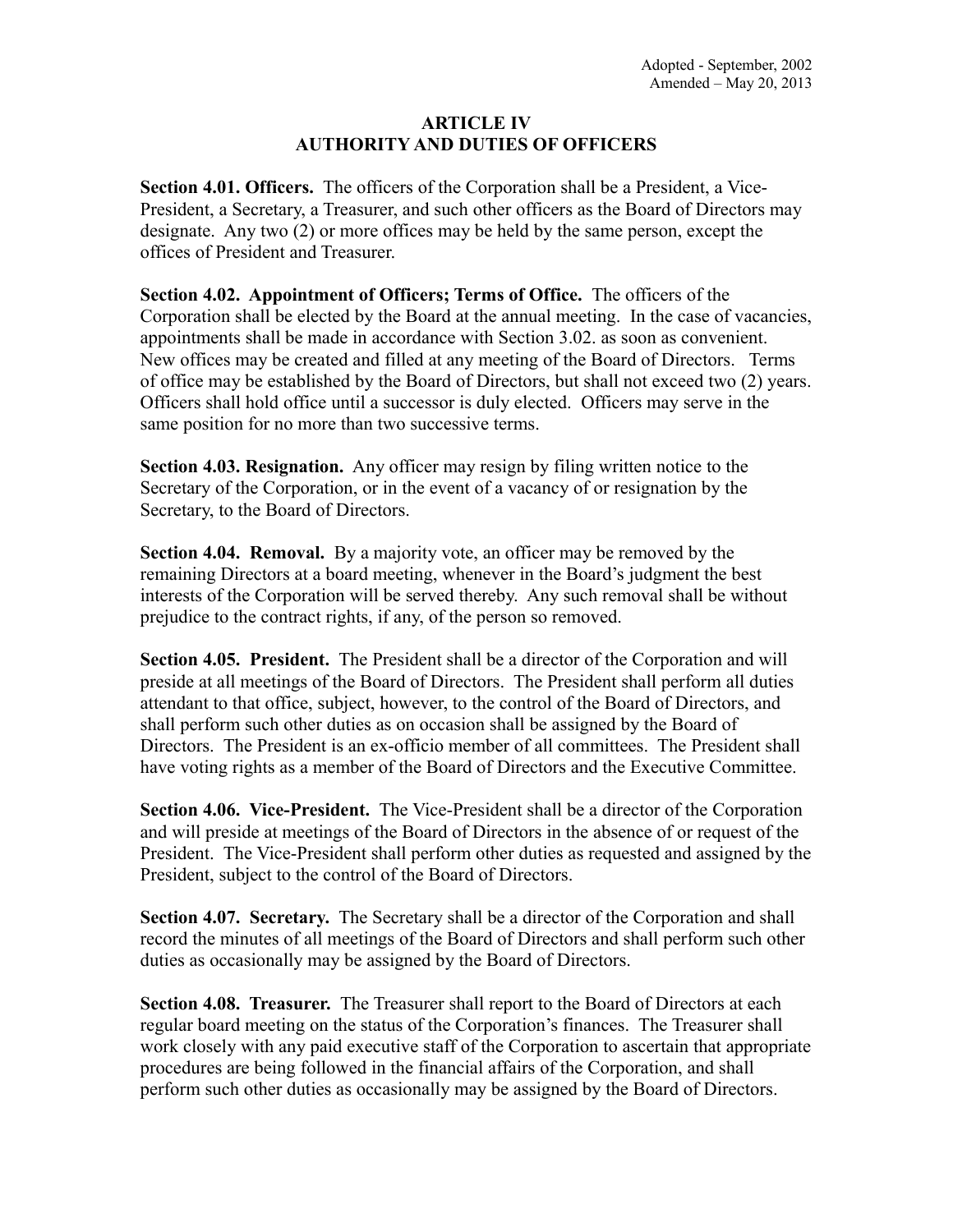### **ARTICLE IV AUTHORITY AND DUTIES OF OFFICERS**

**Section 4.01. Officers.** The officers of the Corporation shall be a President, a Vice-President, a Secretary, a Treasurer, and such other officers as the Board of Directors may designate. Any two (2) or more offices may be held by the same person, except the offices of President and Treasurer.

**Section 4.02. Appointment of Officers; Terms of Office.** The officers of the Corporation shall be elected by the Board at the annual meeting. In the case of vacancies, appointments shall be made in accordance with Section 3.02. as soon as convenient. New offices may be created and filled at any meeting of the Board of Directors. Terms of office may be established by the Board of Directors, but shall not exceed two (2) years. Officers shall hold office until a successor is duly elected. Officers may serve in the same position for no more than two successive terms.

**Section 4.03. Resignation.** Any officer may resign by filing written notice to the Secretary of the Corporation, or in the event of a vacancy of or resignation by the Secretary, to the Board of Directors.

**Section 4.04. Removal.** By a majority vote, an officer may be removed by the remaining Directors at a board meeting, whenever in the Board's judgment the best interests of the Corporation will be served thereby. Any such removal shall be without prejudice to the contract rights, if any, of the person so removed.

**Section 4.05. President.** The President shall be a director of the Corporation and will preside at all meetings of the Board of Directors. The President shall perform all duties attendant to that office, subject, however, to the control of the Board of Directors, and shall perform such other duties as on occasion shall be assigned by the Board of Directors. The President is an ex-officio member of all committees. The President shall have voting rights as a member of the Board of Directors and the Executive Committee.

**Section 4.06. Vice-President.** The Vice-President shall be a director of the Corporation and will preside at meetings of the Board of Directors in the absence of or request of the President. The Vice-President shall perform other duties as requested and assigned by the President, subject to the control of the Board of Directors.

**Section 4.07. Secretary.** The Secretary shall be a director of the Corporation and shall record the minutes of all meetings of the Board of Directors and shall perform such other duties as occasionally may be assigned by the Board of Directors.

**Section 4.08. Treasurer.** The Treasurer shall report to the Board of Directors at each regular board meeting on the status of the Corporation's finances. The Treasurer shall work closely with any paid executive staff of the Corporation to ascertain that appropriate procedures are being followed in the financial affairs of the Corporation, and shall perform such other duties as occasionally may be assigned by the Board of Directors.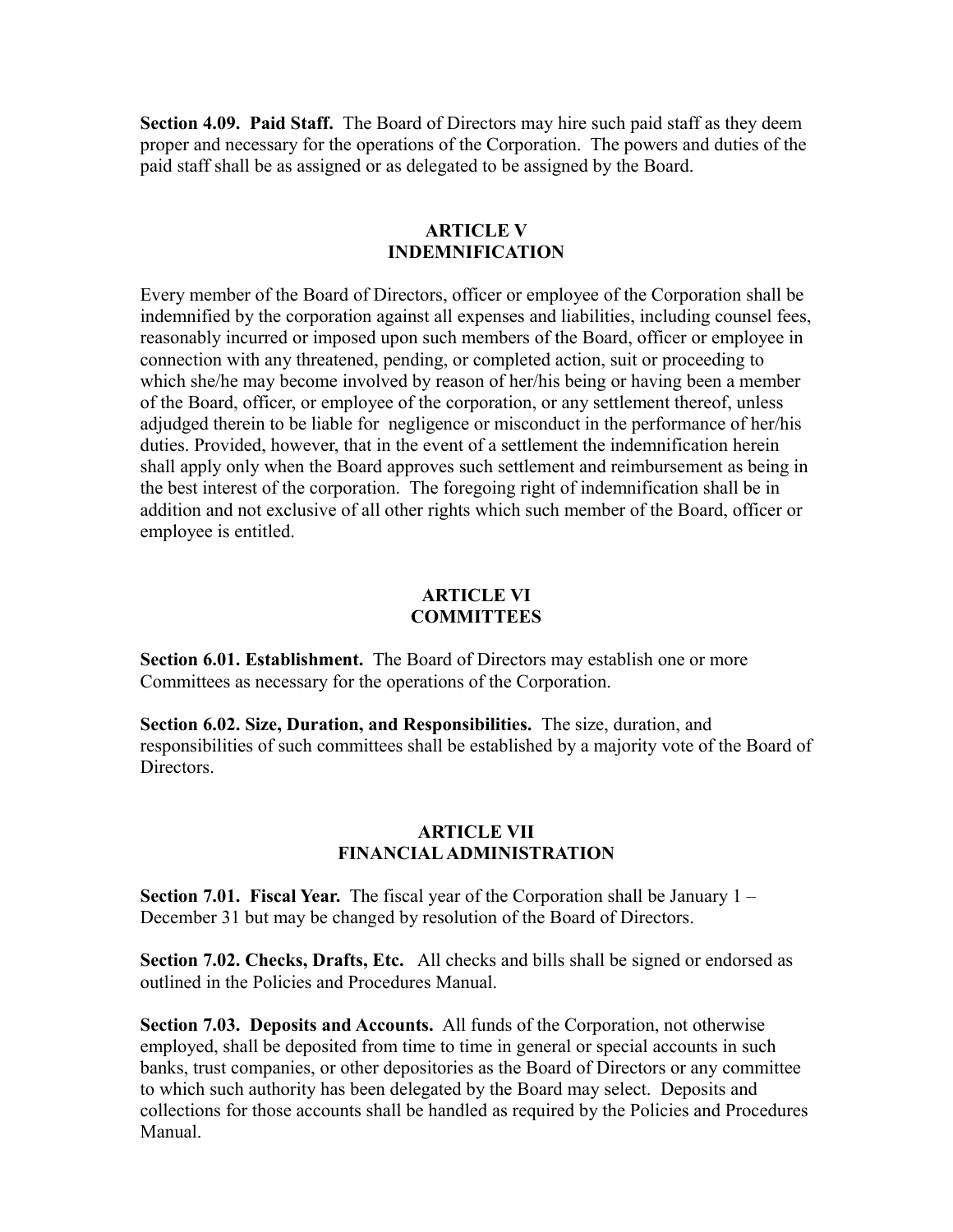**Section 4.09. Paid Staff.** The Board of Directors may hire such paid staff as they deem proper and necessary for the operations of the Corporation. The powers and duties of the paid staff shall be as assigned or as delegated to be assigned by the Board.

### **ARTICLE V INDEMNIFICATION**

Every member of the Board of Directors, officer or employee of the Corporation shall be indemnified by the corporation against all expenses and liabilities, including counsel fees, reasonably incurred or imposed upon such members of the Board, officer or employee in connection with any threatened, pending, or completed action, suit or proceeding to which she/he may become involved by reason of her/his being or having been a member of the Board, officer, or employee of the corporation, or any settlement thereof, unless adjudged therein to be liable for negligence or misconduct in the performance of her/his duties. Provided, however, that in the event of a settlement the indemnification herein shall apply only when the Board approves such settlement and reimbursement as being in the best interest of the corporation. The foregoing right of indemnification shall be in addition and not exclusive of all other rights which such member of the Board, officer or employee is entitled.

### **ARTICLE VI COMMITTEES**

**Section 6.01. Establishment.** The Board of Directors may establish one or more Committees as necessary for the operations of the Corporation.

**Section 6.02. Size, Duration, and Responsibilities.** The size, duration, and responsibilities of such committees shall be established by a majority vote of the Board of **Directors** 

# **ARTICLE VII FINANCIAL ADMINISTRATION**

**Section 7.01. Fiscal Year.** The fiscal year of the Corporation shall be January 1 – December 31 but may be changed by resolution of the Board of Directors.

**Section 7.02. Checks, Drafts, Etc.** All checks and bills shall be signed or endorsed as outlined in the Policies and Procedures Manual.

**Section 7.03. Deposits and Accounts.** All funds of the Corporation, not otherwise employed, shall be deposited from time to time in general or special accounts in such banks, trust companies, or other depositories as the Board of Directors or any committee to which such authority has been delegated by the Board may select. Deposits and collections for those accounts shall be handled as required by the Policies and Procedures Manual.